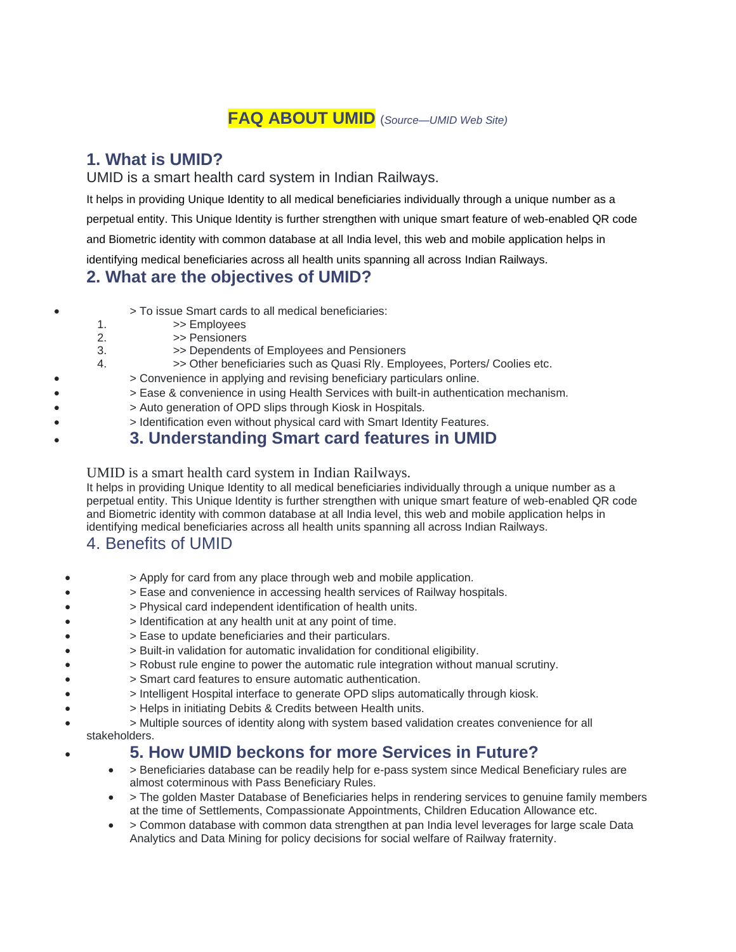## **FAQ ABOUT UMID** (*Source—UMID Web Site)*

#### **1. What is UMID?**

UMID is a smart health card system in Indian Railways.

It helps in providing Unique Identity to all medical beneficiaries individually through a unique number as a perpetual entity. This Unique Identity is further strengthen with unique smart feature of web-enabled QR code and Biometric identity with common database at all India level, this web and mobile application helps in identifying medical beneficiaries across all health units spanning all across Indian Railways.

## **2. What are the objectives of UMID?**

|  | > To issue Smart cards to all medical beneficiaries: |  |  |
|--|------------------------------------------------------|--|--|
|--|------------------------------------------------------|--|--|

- 1.  $\Rightarrow$  Employees
- 2.  $\Rightarrow$  Pensioners<br>3  $\Rightarrow$  Dependents
- >> Dependents of Employees and Pensioners
- 4. >> Other beneficiaries such as Quasi Rly. Employees, Porters/ Coolies etc.
	- > Convenience in applying and revising beneficiary particulars online.
		- > Ease & convenience in using Health Services with built-in authentication mechanism.
- > Auto generation of OPD slips through Kiosk in Hospitals.
	- > Identification even without physical card with Smart Identity Features.

## • **3. Understanding Smart card features in UMID**

UMID is a smart health card system in Indian Railways.

It helps in providing Unique Identity to all medical beneficiaries individually through a unique number as a perpetual entity. This Unique Identity is further strengthen with unique smart feature of web-enabled QR code and Biometric identity with common database at all India level, this web and mobile application helps in identifying medical beneficiaries across all health units spanning all across Indian Railways.

## 4. Benefits of UMID

- > Apply for card from any place through web and mobile application.
- > Ease and convenience in accessing health services of Railway hospitals.
- > Physical card independent identification of health units.
- > Identification at any health unit at any point of time.
- > Ease to update beneficiaries and their particulars.
- > Built-in validation for automatic invalidation for conditional eligibility.
- > Robust rule engine to power the automatic rule integration without manual scrutiny.
- > Smart card features to ensure automatic authentication.
- > Intelligent Hospital interface to generate OPD slips automatically through kiosk.
- > Helps in initiating Debits & Credits between Health units.
- > Multiple sources of identity along with system based validation creates convenience for all stakeholders.

## • **5. How UMID beckons for more Services in Future?**

- > Beneficiaries database can be readily help for e-pass system since Medical Beneficiary rules are almost coterminous with Pass Beneficiary Rules.
- > The golden Master Database of Beneficiaries helps in rendering services to genuine family members at the time of Settlements, Compassionate Appointments, Children Education Allowance etc.
- > Common database with common data strengthen at pan India level leverages for large scale Data Analytics and Data Mining for policy decisions for social welfare of Railway fraternity.